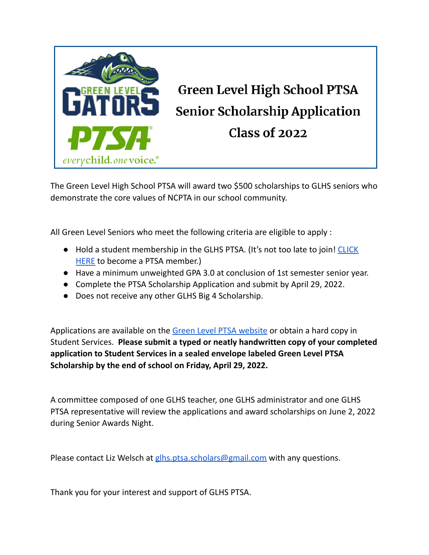

The Green Level High School PTSA will award two \$500 scholarships to GLHS seniors who demonstrate the core values of NCPTA in our school community.

All Green Level Seniors who meet the following criteria are eligible to apply :

- Hold a student membership in the GLHS PTSA. (It's not too late to join! [CLICK](https://glhs-ptsa.memberhub.com/store?category=Memberships) [HERE](https://glhs-ptsa.memberhub.com/store?category=Memberships) to become a PTSA member.)
- Have a minimum unweighted GPA 3.0 at conclusion of 1st semester senior year.
- Complete the PTSA Scholarship Application and submit by April 29, 2022.
- Does not receive any other GLHS Big 4 Scholarship.

Applications are available on the Green Level PTSA [website](http://www.glhsptsa.org/) or obtain a hard copy in Student Services. **Please submit a typed or neatly handwritten copy of your completed application to Student Services in a sealed envelope labeled Green Level PTSA Scholarship by the end of school on Friday, April 29, 2022.**

A committee composed of one GLHS teacher, one GLHS administrator and one GLHS PTSA representative will review the applications and award scholarships on June 2, 2022 during Senior Awards Night.

Please contact Liz Welsch at [glhs.ptsa.scholars@gmail.com](mailto:glhs.ptsa.scholars@gmail.com) with any questions.

Thank you for your interest and support of GLHS PTSA.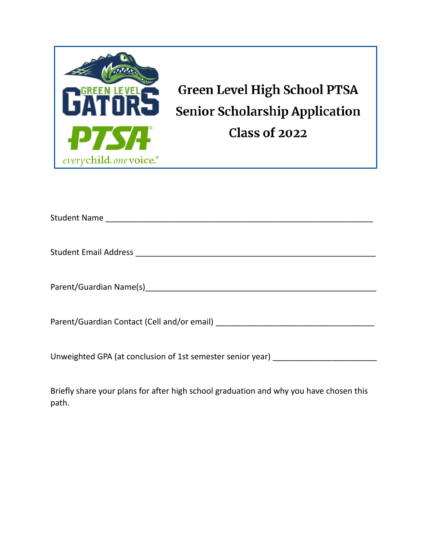

| Unweighted GPA (at conclusion of 1st semester senior year) _____________________ |
|----------------------------------------------------------------------------------|

Briefly share your plans for after high school graduation and why you have chosen this path.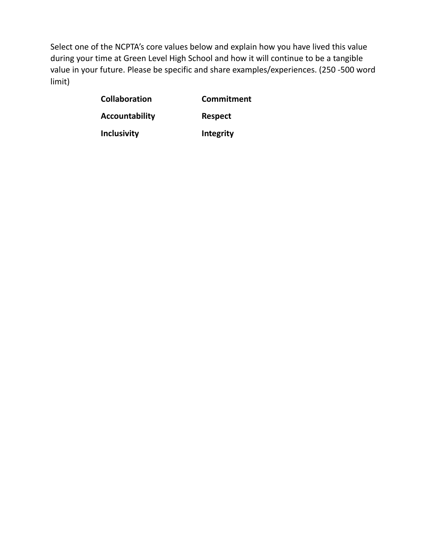Select one of the NCPTA's core values below and explain how you have lived this value during your time at Green Level High School and how it will continue to be a tangible value in your future. Please be specific and share examples/experiences. (250 -500 word limit)

| <b>Collaboration</b> | Commitment     |
|----------------------|----------------|
| Accountability       | <b>Respect</b> |
| <b>Inclusivity</b>   | Integrity      |